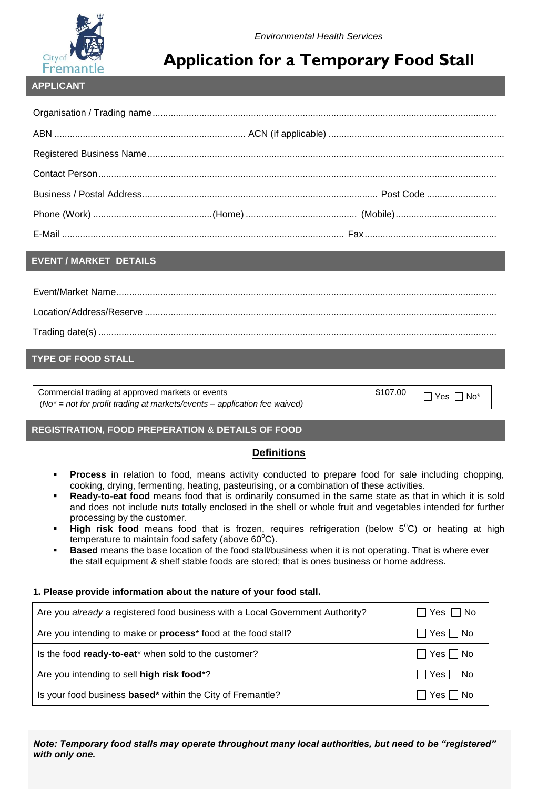

# **Application for a Temporary Food Stall**

### **APPLICANT**

### **EVENT / MARKET DETAILS**

# **TYPE OF FOOD STALL**

Commercial trading at approved markets or events \$107.00 (*No\* = not for profit trading at markets/events – application fee waived)*

 $\Box$  Yes  $\Box$  No\*

## **REGISTRATION, FOOD PREPERATION & DETAILS OF FOOD**

## **Definitions**

- **Process** in relation to food, means activity conducted to prepare food for sale including chopping, cooking, drying, fermenting, heating, pasteurising, or a combination of these activities.
- **Ready-to-eat food** means food that is ordinarily consumed in the same state as that in which it is sold and does not include nuts totally enclosed in the shell or whole fruit and vegetables intended for further processing by the customer.
- High risk food means food that is frozen, requires refrigeration (below 5<sup>o</sup>C) or heating at high temperature to maintain food safety (above  $60^{\circ}$ C).
- **Based** means the base location of the food stall/business when it is not operating. That is where ever the stall equipment & shelf stable foods are stored; that is ones business or home address.

### **1. Please provide information about the nature of your food stall.**

| Are you already a registered food business with a Local Government Authority?    | $Yes \Box No$        |
|----------------------------------------------------------------------------------|----------------------|
| Are you intending to make or <b>process</b> <sup>*</sup> food at the food stall? | $Yes \Box No$        |
| Is the food ready-to-eat* when sold to the customer?                             | $\Box$ Yes $\Box$ No |
| Are you intending to sell high risk food*?                                       | $\Box$ Yes $\Box$ No |
| Is your food business based* within the City of Fremantle?                       | Yes     No           |

*Note: Temporary food stalls may operate throughout many local authorities, but need to be "registered" with only one.*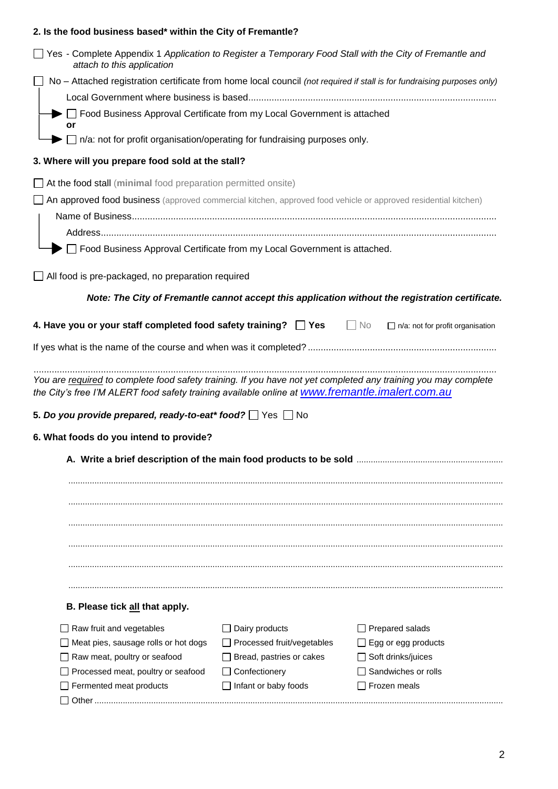# **2. Is the food business based\* within the City of Fremantle?**

| □ Yes - Complete Appendix 1 Application to Register a Temporary Food Stall with the City of Fremantle and<br>attach to this application                                                                           |                                 |                                                                                                  |
|-------------------------------------------------------------------------------------------------------------------------------------------------------------------------------------------------------------------|---------------------------------|--------------------------------------------------------------------------------------------------|
| No - Attached registration certificate from home local council (not required if stall is for fundraising purposes only)                                                                                           |                                 |                                                                                                  |
|                                                                                                                                                                                                                   |                                 |                                                                                                  |
| $\blacktriangleright \Box$ Food Business Approval Certificate from my Local Government is attached<br>or                                                                                                          |                                 |                                                                                                  |
| $\Box$ n/a: not for profit organisation/operating for fundraising purposes only.                                                                                                                                  |                                 |                                                                                                  |
| 3. Where will you prepare food sold at the stall?                                                                                                                                                                 |                                 |                                                                                                  |
| $\Box$ At the food stall (minimal food preparation permitted onsite)                                                                                                                                              |                                 |                                                                                                  |
| An approved food business (approved commercial kitchen, approved food vehicle or approved residential kitchen)                                                                                                    |                                 |                                                                                                  |
|                                                                                                                                                                                                                   |                                 |                                                                                                  |
|                                                                                                                                                                                                                   |                                 |                                                                                                  |
| □ Food Business Approval Certificate from my Local Government is attached.                                                                                                                                        |                                 |                                                                                                  |
| $\Box$ All food is pre-packaged, no preparation required                                                                                                                                                          |                                 |                                                                                                  |
|                                                                                                                                                                                                                   |                                 | Note: The City of Fremantle cannot accept this application without the registration certificate. |
| 4. Have you or your staff completed food safety training? $\Box$ Yes $\Box$ No                                                                                                                                    |                                 | $\Box$ n/a: not for profit organisation                                                          |
|                                                                                                                                                                                                                   |                                 |                                                                                                  |
|                                                                                                                                                                                                                   |                                 |                                                                                                  |
| You are required to complete food safety training. If you have not yet completed any training you may complete<br>the City's free I'M ALERT food safety training available online at www.fremantle.imalert.com.au |                                 |                                                                                                  |
| 5. Do you provide prepared, ready-to-eat* food? $\Box$ Yes $\Box$ No                                                                                                                                              |                                 |                                                                                                  |
| 6. What foods do you intend to provide?                                                                                                                                                                           |                                 |                                                                                                  |
|                                                                                                                                                                                                                   |                                 |                                                                                                  |
|                                                                                                                                                                                                                   |                                 |                                                                                                  |
|                                                                                                                                                                                                                   |                                 |                                                                                                  |
|                                                                                                                                                                                                                   |                                 |                                                                                                  |
|                                                                                                                                                                                                                   |                                 |                                                                                                  |
|                                                                                                                                                                                                                   |                                 |                                                                                                  |
|                                                                                                                                                                                                                   |                                 |                                                                                                  |
|                                                                                                                                                                                                                   |                                 |                                                                                                  |
|                                                                                                                                                                                                                   |                                 |                                                                                                  |
| B. Please tick all that apply.                                                                                                                                                                                    |                                 |                                                                                                  |
| Raw fruit and vegetables                                                                                                                                                                                          | Dairy products                  | Prepared salads                                                                                  |
| Meat pies, sausage rolls or hot dogs                                                                                                                                                                              | □ Processed fruit/vegetables    | $\exists$ Egg or egg products                                                                    |
| Raw meat, poultry or seafood                                                                                                                                                                                      | $\Box$ Bread, pastries or cakes | Soft drinks/juices                                                                               |
|                                                                                                                                                                                                                   |                                 |                                                                                                  |
| Processed meat, poultry or seafood                                                                                                                                                                                | Confectionery                   | Sandwiches or rolls                                                                              |
| Fermented meat products                                                                                                                                                                                           | $\Box$ Infant or baby foods     | Frozen meals                                                                                     |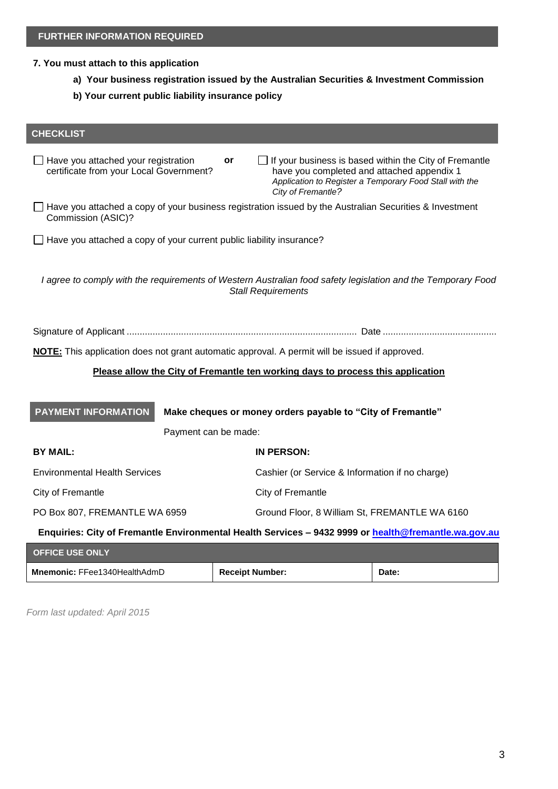#### **7. You must attach to this application**

- **a) Your business registration issued by the Australian Securities & Investment Commission**
- **b) Your current public liability insurance policy**

# **CHECKLIST**  $\Box$  Have you attached your registration certificate from your Local Government? **or**  $\Box$  If your business is based within the City of Fremantle have you completed and attached appendix 1 *Application to Register a Temporary Food Stall with the City of Fremantle?*  $\Box$  Have you attached a copy of your business registration issued by the Australian Securities & Investment Commission (ASIC)?  $\Box$  Have you attached a copy of your current public liability insurance? *I agree to comply with the requirements of Western Australian food safety legislation and the Temporary Food Stall Requirements* Signature of Applicant ......................................................................................... Date ............................................ **NOTE:** This application does not grant automatic approval. A permit will be issued if approved. **Please allow the City of Fremantle ten working days to process this application Make cheques or money orders payable to "City of Fremantle"** Payment can be made: **BY MAIL: IN PERSON:** Environmental Health Services Cashier (or Service & Information if no charge) City of Fremantle City of Fremantle PO Box 807, FREMANTLE WA 6959 Ground Floor, 8 William St, FREMANTLE WA 6160 **Enquiries: City of Fremantle Environmental Health Services – 9432 9999 or [health@fremantle.wa.gov.au](mailto:health@fremantle.wa.gov.au) OFFICE USE ONLY PAYMENT INFORMATION**

| $\sim$ 1.194 994 911 19             |                        |       |
|-------------------------------------|------------------------|-------|
| <b>Mnemonic: FFee1340HealthAdmD</b> | <b>Receipt Number:</b> | Date. |

*Form last updated: April 2015*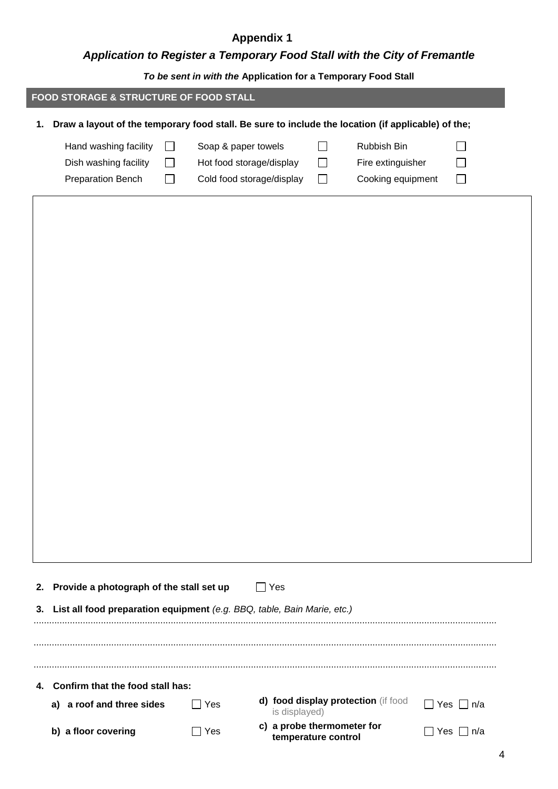# **Appendix 1**

I

# *Application to Register a Temporary Food Stall with the City of Fremantle*

*To be sent in with the* **Application for a Temporary Food Stall**

|    |                                                                     |                                | To be sent in with the Application for a Temporary Food Stall                                      |                            |                                                       |                          |
|----|---------------------------------------------------------------------|--------------------------------|----------------------------------------------------------------------------------------------------|----------------------------|-------------------------------------------------------|--------------------------|
|    | FOOD STORAGE & STRUCTURE OF FOOD STALL                              |                                |                                                                                                    |                            |                                                       |                          |
| 1. |                                                                     |                                | Draw a layout of the temporary food stall. Be sure to include the location (if applicable) of the; |                            |                                                       |                          |
|    | Hand washing facility<br>Dish washing facility<br>Preparation Bench | $\blacksquare$<br>$\mathsf{L}$ | Soap & paper towels<br>Hot food storage/display<br>Cold food storage/display                       | $\sim$<br>$\sim$<br>$\Box$ | Rubbish Bin<br>Fire extinguisher<br>Cooking equipment | $\blacksquare$<br>$\Box$ |
|    |                                                                     |                                |                                                                                                    |                            |                                                       |                          |
|    |                                                                     |                                |                                                                                                    |                            |                                                       |                          |
|    |                                                                     |                                |                                                                                                    |                            |                                                       |                          |
|    |                                                                     |                                |                                                                                                    |                            |                                                       |                          |
|    |                                                                     |                                |                                                                                                    |                            |                                                       |                          |
|    |                                                                     |                                |                                                                                                    |                            |                                                       |                          |
|    |                                                                     |                                |                                                                                                    |                            |                                                       |                          |
|    |                                                                     |                                |                                                                                                    |                            |                                                       |                          |
|    |                                                                     |                                |                                                                                                    |                            |                                                       |                          |
|    |                                                                     |                                |                                                                                                    |                            |                                                       |                          |
|    |                                                                     |                                |                                                                                                    |                            |                                                       |                          |
|    |                                                                     |                                |                                                                                                    |                            |                                                       |                          |
|    |                                                                     |                                |                                                                                                    |                            |                                                       |                          |
|    |                                                                     |                                |                                                                                                    |                            |                                                       |                          |
| 2. | Provide a photograph of the stall set up                            |                                | $\Box$ Yes                                                                                         |                            |                                                       |                          |
| 3. |                                                                     |                                | List all food preparation equipment (e.g. BBQ, table, Bain Marie, etc.)                            |                            |                                                       |                          |
|    |                                                                     |                                |                                                                                                    |                            |                                                       |                          |
|    |                                                                     |                                |                                                                                                    |                            |                                                       |                          |

| 4. Confirm that the food stall has: |            |                                                      |                       |
|-------------------------------------|------------|------------------------------------------------------|-----------------------|
| a) a roof and three sides           | ∏ Yes      | d) food display protection (if food<br>is displayed) | $\Box$ Yes $\Box$ n/a |
| b) a floor covering                 | $\Box$ Yes | c) a probe thermometer for<br>temperature control    | □ Yes □ n/a           |

...................................................................................................................................................................................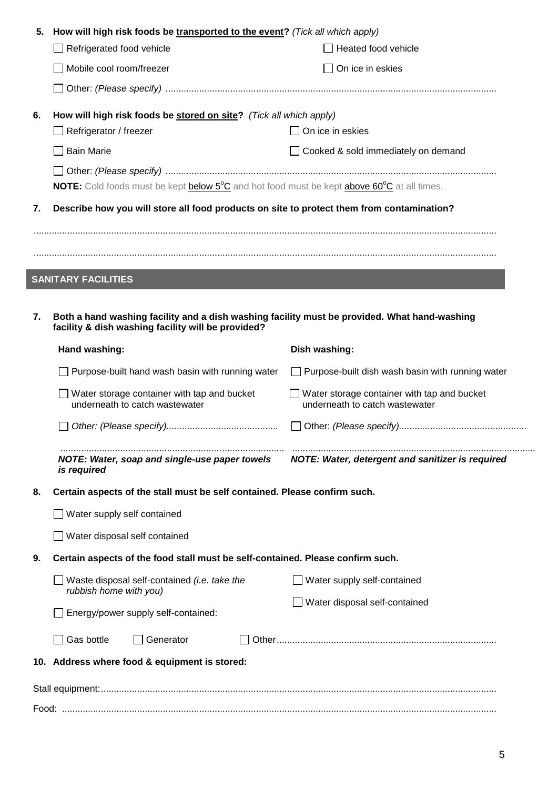| 5. | How will high risk foods be transported to the event? (Tick all which apply)                                                                       |                                                                                      |  |  |  |
|----|----------------------------------------------------------------------------------------------------------------------------------------------------|--------------------------------------------------------------------------------------|--|--|--|
|    | $\Box$ Refrigerated food vehicle                                                                                                                   | $\Box$ Heated food vehicle                                                           |  |  |  |
|    | Mobile cool room/freezer                                                                                                                           | $\Box$ On ice in eskies                                                              |  |  |  |
|    |                                                                                                                                                    |                                                                                      |  |  |  |
| 6. | How will high risk foods be stored on site? (Tick all which apply)                                                                                 |                                                                                      |  |  |  |
|    | $\Box$ Refrigerator / freezer                                                                                                                      | $\Box$ On ice in eskies                                                              |  |  |  |
|    | $\Box$ Bain Marie                                                                                                                                  | □ Cooked & sold immediately on demand                                                |  |  |  |
|    |                                                                                                                                                    |                                                                                      |  |  |  |
|    | NOTE: Cold foods must be kept below 5°C and hot food must be kept above 60°C at all times.                                                         |                                                                                      |  |  |  |
| 7. | Describe how you will store all food products on site to protect them from contamination?                                                          |                                                                                      |  |  |  |
|    |                                                                                                                                                    |                                                                                      |  |  |  |
|    |                                                                                                                                                    |                                                                                      |  |  |  |
|    | <b>SANITARY FACILITIES</b>                                                                                                                         |                                                                                      |  |  |  |
|    |                                                                                                                                                    |                                                                                      |  |  |  |
| 7. |                                                                                                                                                    |                                                                                      |  |  |  |
|    | Both a hand washing facility and a dish washing facility must be provided. What hand-washing<br>facility & dish washing facility will be provided? |                                                                                      |  |  |  |
|    | Hand washing:                                                                                                                                      | Dish washing:                                                                        |  |  |  |
|    | $\Box$ Purpose-built hand wash basin with running water                                                                                            | $\Box$ Purpose-built dish wash basin with running water                              |  |  |  |
|    | $\Box$ Water storage container with tap and bucket<br>underneath to catch wastewater                                                               | $\Box$ Water storage container with tap and bucket<br>underneath to catch wastewater |  |  |  |
|    |                                                                                                                                                    |                                                                                      |  |  |  |
|    | NOTE: Water, soap and single-use paper towels<br>is required                                                                                       | NOTE: Water, detergent and sanitizer is required                                     |  |  |  |
| 8. | Certain aspects of the stall must be self contained. Please confirm such.                                                                          |                                                                                      |  |  |  |
|    | Water supply self contained                                                                                                                        |                                                                                      |  |  |  |
|    | □ Water disposal self contained                                                                                                                    |                                                                                      |  |  |  |
| 9. | Certain aspects of the food stall must be self-contained. Please confirm such.                                                                     |                                                                                      |  |  |  |
|    | $\Box$ Waste disposal self-contained (i.e. take the                                                                                                | $\Box$ Water supply self-contained                                                   |  |  |  |
|    | rubbish home with you)                                                                                                                             | Water disposal self-contained                                                        |  |  |  |
|    | Energy/power supply self-contained:                                                                                                                |                                                                                      |  |  |  |
|    | $\Box$ Gas bottle<br>$\Box$ Generator                                                                                                              |                                                                                      |  |  |  |
|    | 10. Address where food & equipment is stored:                                                                                                      |                                                                                      |  |  |  |
|    |                                                                                                                                                    |                                                                                      |  |  |  |
|    |                                                                                                                                                    |                                                                                      |  |  |  |
|    |                                                                                                                                                    |                                                                                      |  |  |  |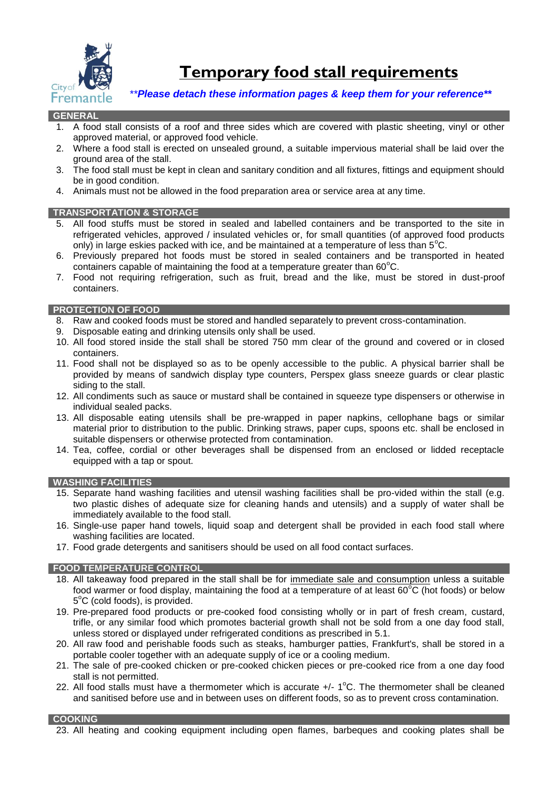

**Temporary food stall requirements** 

 *\*\*Please detach these information pages & keep them for your reference\*\**

### **GENERAL**

- 1. A food stall consists of a roof and three sides which are covered with plastic sheeting, vinyl or other approved material, or approved food vehicle.
- 2. Where a food stall is erected on unsealed ground, a suitable impervious material shall be laid over the ground area of the stall.
- 3. The food stall must be kept in clean and sanitary condition and all fixtures, fittings and equipment should be in good condition.
- 4. Animals must not be allowed in the food preparation area or service area at any time.

#### **TRANSPORTATION & STORAGE**

- 5. All food stuffs must be stored in sealed and labelled containers and be transported to the site in refrigerated vehicles, approved / insulated vehicles or, for small quantities (of approved food products only) in large eskies packed with ice, and be maintained at a temperature of less than  $5^{\circ}$ C.
- 6. Previously prepared hot foods must be stored in sealed containers and be transported in heated containers capable of maintaining the food at a temperature greater than  $60^{\circ}$ C.
- 7. Food not requiring refrigeration, such as fruit, bread and the like, must be stored in dust-proof containers.

#### **PROTECTION OF FOOD**

- 8. Raw and cooked foods must be stored and handled separately to prevent cross-contamination.
- Disposable eating and drinking utensils only shall be used.
- 10. All food stored inside the stall shall be stored 750 mm clear of the ground and covered or in closed containers.
- 11. Food shall not be displayed so as to be openly accessible to the public. A physical barrier shall be provided by means of sandwich display type counters, Perspex glass sneeze guards or clear plastic siding to the stall.
- 12. All condiments such as sauce or mustard shall be contained in squeeze type dispensers or otherwise in individual sealed packs.
- 13. All disposable eating utensils shall be pre-wrapped in paper napkins, cellophane bags or similar material prior to distribution to the public. Drinking straws, paper cups, spoons etc. shall be enclosed in suitable dispensers or otherwise protected from contamination.
- 14. Tea, coffee, cordial or other beverages shall be dispensed from an enclosed or lidded receptacle equipped with a tap or spout.

#### **WASHING FACILITIES**

- 15. Separate hand washing facilities and utensil washing facilities shall be pro-vided within the stall (e.g. two plastic dishes of adequate size for cleaning hands and utensils) and a supply of water shall be immediately available to the food stall.
- 16. Single-use paper hand towels, liquid soap and detergent shall be provided in each food stall where washing facilities are located.
- 17. Food grade detergents and sanitisers should be used on all food contact surfaces.

### **FOOD TEMPERATURE CONTROL**

- 18. All takeaway food prepared in the stall shall be for immediate sale and consumption unless a suitable food warmer or food display, maintaining the food at a temperature of at least  $60^{\circ}$ C (hot foods) or below 5°C (cold foods), is provided.
- 19. Pre-prepared food products or pre-cooked food consisting wholly or in part of fresh cream, custard, trifle, or any similar food which promotes bacterial growth shall not be sold from a one day food stall, unless stored or displayed under refrigerated conditions as prescribed in 5.1.
- 20. All raw food and perishable foods such as steaks, hamburger patties, Frankfurt's, shall be stored in a portable cooler together with an adequate supply of ice or a cooling medium.
- 21. The sale of pre-cooked chicken or pre-cooked chicken pieces or pre-cooked rice from a one day food stall is not permitted.
- 22. All food stalls must have a thermometer which is accurate  $+/- 1$ °C. The thermometer shall be cleaned and sanitised before use and in between uses on different foods, so as to prevent cross contamination.

#### **COOKING**

23. All heating and cooking equipment including open flames, barbeques and cooking plates shall be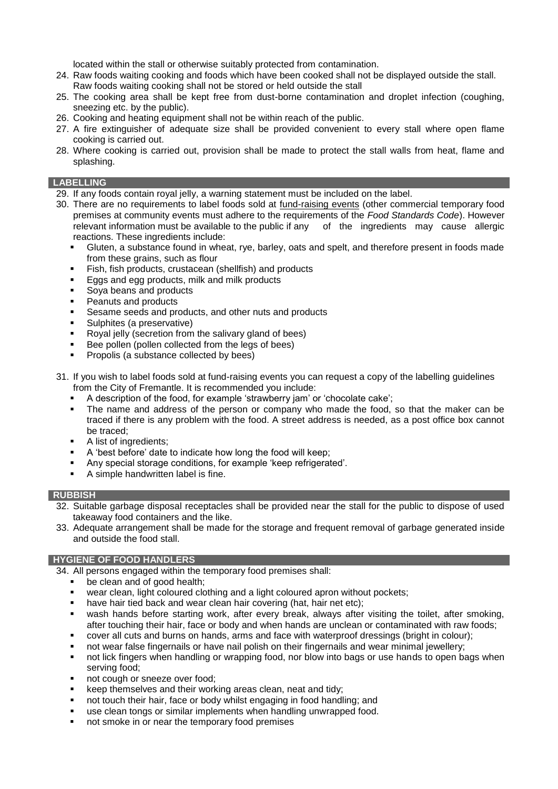located within the stall or otherwise suitably protected from contamination.

- 24. Raw foods waiting cooking and foods which have been cooked shall not be displayed outside the stall.
- Raw foods waiting cooking shall not be stored or held outside the stall
- 25. The cooking area shall be kept free from dust-borne contamination and droplet infection (coughing, sneezing etc. by the public).
- 26. Cooking and heating equipment shall not be within reach of the public.
- 27. A fire extinguisher of adequate size shall be provided convenient to every stall where open flame cooking is carried out.
- 28. Where cooking is carried out, provision shall be made to protect the stall walls from heat, flame and splashing.

### **LABELLING**

- 29. If any foods contain royal jelly, a warning statement must be included on the label.
- 30. There are no requirements to label foods sold at fund-raising events (other commercial temporary food premises at community events must adhere to the requirements of the *Food Standards Code*). However relevant information must be available to the public if any of the ingredients may cause allergic reactions. These ingredients include:
	- Gluten, a substance found in wheat, rye, barley, oats and spelt, and therefore present in foods made from these grains, such as flour
	- **Fish, fish products, crustacean (shellfish) and products**
	- **Eggs and egg products, milk and milk products**
	- Soya beans and products
	- Peanuts and products
	- **Sesame seeds and products, and other nuts and products**
	- **Sulphites (a preservative)**
	- Royal jelly (secretion from the salivary gland of bees)
	- Bee pollen (pollen collected from the legs of bees)
	- Propolis (a substance collected by bees)
- 31. If you wish to label foods sold at fund-raising events you can request a copy of the labelling guidelines from the City of Fremantle. It is recommended you include:
	- A description of the food, for example 'strawberry jam' or 'chocolate cake';
	- The name and address of the person or company who made the food, so that the maker can be traced if there is any problem with the food. A street address is needed, as a post office box cannot be traced;
	- A list of ingredients;
	- A 'best before' date to indicate how long the food will keep;
	- Any special storage conditions, for example 'keep refrigerated'.
	- A simple handwritten label is fine.

### **RUBBISH**

- 32. Suitable garbage disposal receptacles shall be provided near the stall for the public to dispose of used takeaway food containers and the like.
- 33. Adequate arrangement shall be made for the storage and frequent removal of garbage generated inside and outside the food stall.

### **HYGIENE OF FOOD HANDLERS**

34. All persons engaged within the temporary food premises shall:

- be clean and of good health:
- wear clean, light coloured clothing and a light coloured apron without pockets;
- have hair tied back and wear clean hair covering (hat, hair net etc);
- wash hands before starting work, after every break, always after visiting the toilet, after smoking, after touching their hair, face or body and when hands are unclean or contaminated with raw foods;
- cover all cuts and burns on hands, arms and face with waterproof dressings (bright in colour);
- not wear false fingernails or have nail polish on their fingernails and wear minimal jewellery;
- not lick fingers when handling or wrapping food, nor blow into bags or use hands to open bags when serving food;
- not cough or sneeze over food;
- keep themselves and their working areas clean, neat and tidy;
- not touch their hair, face or body whilst engaging in food handling; and
- use clean tongs or similar implements when handling unwrapped food.
- not smoke in or near the temporary food premises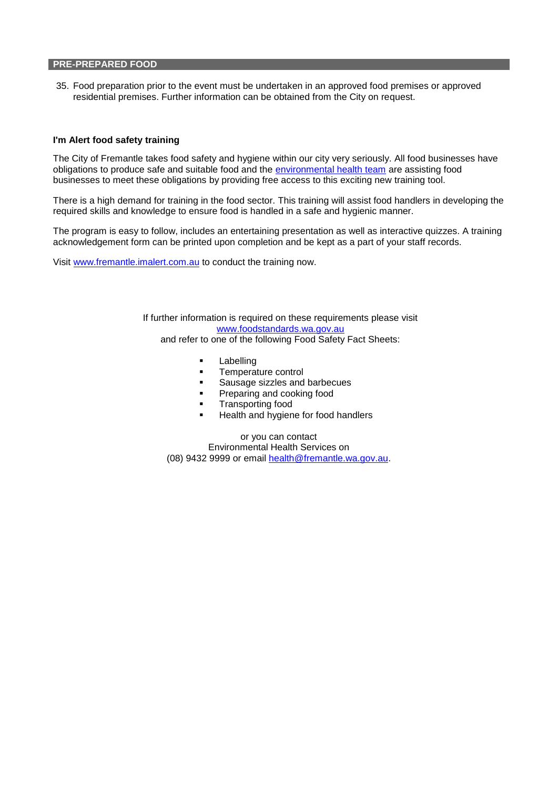#### **PRE-PREPARED FOOD**

35. Food preparation prior to the event must be undertaken in an approved food premises or approved residential premises. Further information can be obtained from the City on request.

#### **I'm Alert food safety training**

The City of Fremantle takes food safety and hygiene within our city very seriously. All food businesses have obligations to produce safe and suitable food and the [environmental health team](http://www.fremantle.wa.gov.au/City_services/Environmental_health) are assisting food businesses to meet these obligations by providing free access to this exciting new training tool.

There is a high demand for training in the food sector. This training will assist food handlers in developing the required skills and knowledge to ensure food is handled in a safe and hygienic manner.

The program is easy to follow, includes an entertaining presentation as well as interactive quizzes. A training acknowledgement form can be printed upon completion and be kept as a part of your staff records.

Visit [www.fremantle.imalert.com.au](http://www.fremantle.imalert.com.au/) to conduct the training now.

If further information is required on these requirements please visit [www.foodstandards.wa.gov.au](http://www.foodstandards.wa.gov.au/) and refer to one of the following Food Safety Fact Sheets:

- **-** Labelling
- **Temperature control**
- Sausage sizzles and barbecues
- **Preparing and cooking food**
- **Transporting food**
- Health and hygiene for food handlers

or you can contact Environmental Health Services on (08) 9432 9999 or email [health@fremantle.wa.gov.au.](mailto:health@fremantle.wa.gov.au)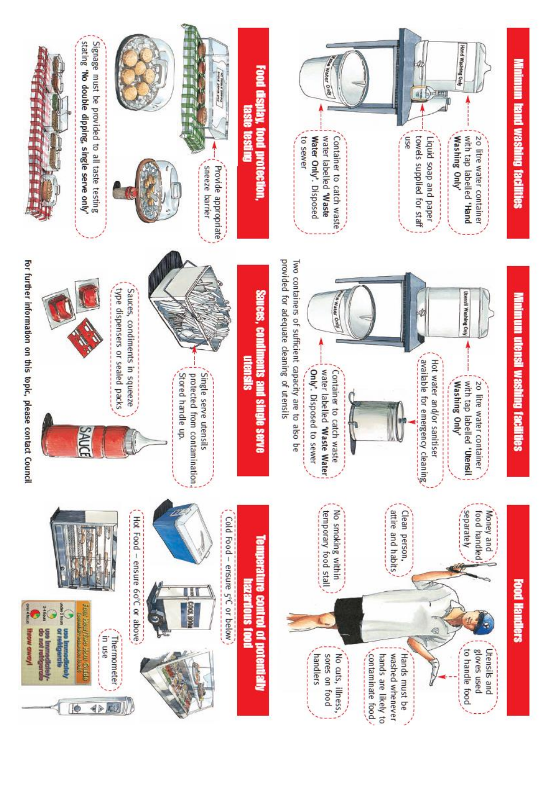

Minimum utensil washing facilities









Two containers of sufficient capacity are to also be



For further information on this topic, please contact Council





Cold Food - ensure 5°C or below



**EXERE** 

Hot Food - ensure 60°C or above

in use

**Thermometer** 

◆国川

or refigerati

To

илома мод

one principal control

Only'. Disposed to sewer

provided for adequate cleaning of utensils

Sauces, condiments and single serve